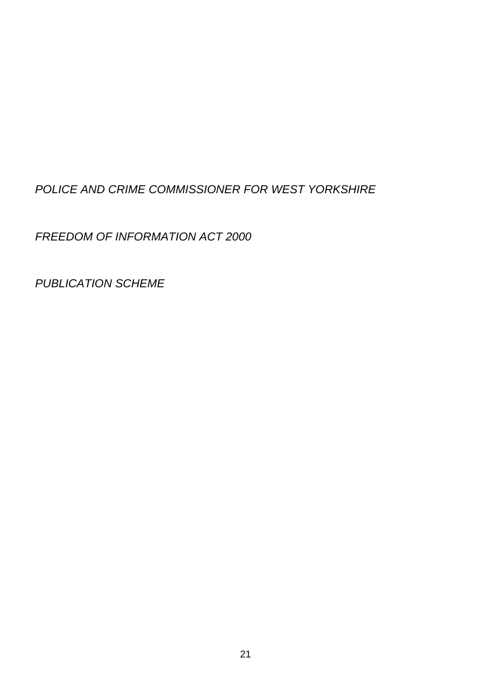# *POLICE AND CRIME COMMISSIONER FOR WEST YORKSHIRE*

*FREEDOM OF INFORMATION ACT 2000* 

*PUBLICATION SCHEME*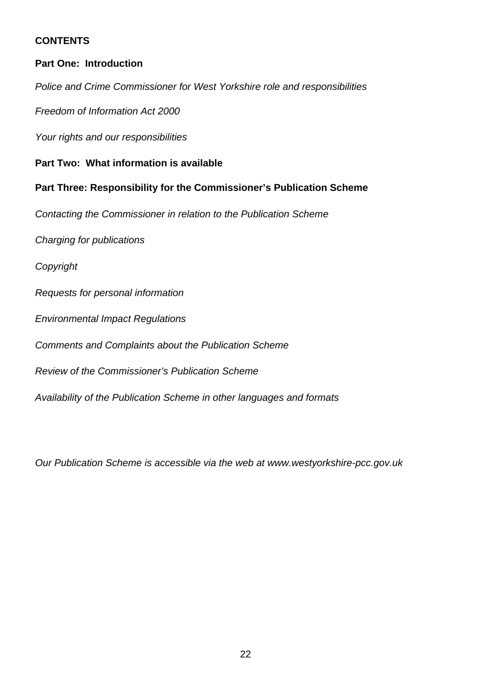## **CONTENTS**

#### **Part One: Introduction**

*Police and Crime Commissioner for West Yorkshire role and responsibilities* 

*Freedom of Information Act 2000* 

*Your rights and our responsibilities* 

#### **Part Two: What information is available**

#### **Part Three: Responsibility for the Commissioner's Publication Scheme**

*Contacting the Commissioner in relation to the Publication Scheme* 

*Charging for publications* 

*Copyright* 

*Requests for personal information* 

*Environmental Impact Regulations* 

*Comments and Complaints about the Publication Scheme* 

*Review of the Commissioner's Publication Scheme* 

*Availability of the Publication Scheme in other languages and formats* 

*Our Publication Scheme is accessible via the web at www.westyorkshire-pcc.gov.uk*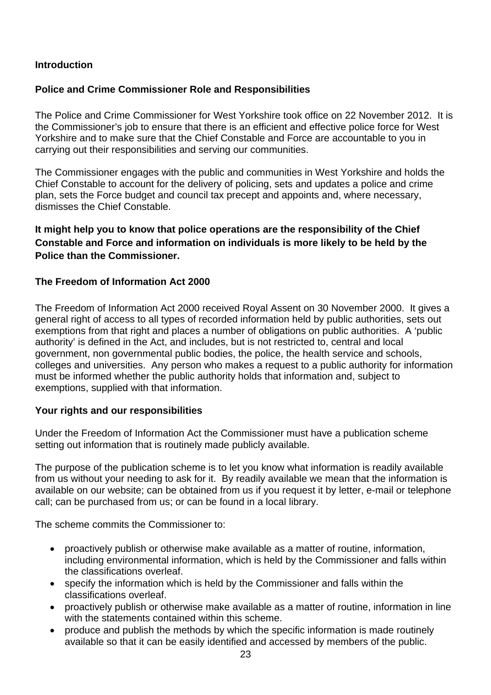## **Introduction**

# **Police and Crime Commissioner Role and Responsibilities**

The Police and Crime Commissioner for West Yorkshire took office on 22 November 2012. It is the Commissioner's job to ensure that there is an efficient and effective police force for West Yorkshire and to make sure that the Chief Constable and Force are accountable to you in carrying out their responsibilities and serving our communities.

The Commissioner engages with the public and communities in West Yorkshire and holds the Chief Constable to account for the delivery of policing, sets and updates a police and crime plan, sets the Force budget and council tax precept and appoints and, where necessary, dismisses the Chief Constable.

# **It might help you to know that police operations are the responsibility of the Chief Constable and Force and information on individuals is more likely to be held by the Police than the Commissioner.**

## **The Freedom of Information Act 2000**

The Freedom of Information Act 2000 received Royal Assent on 30 November 2000. It gives a general right of access to all types of recorded information held by public authorities, sets out exemptions from that right and places a number of obligations on public authorities. A 'public authority' is defined in the Act, and includes, but is not restricted to, central and local government, non governmental public bodies, the police, the health service and schools, colleges and universities. Any person who makes a request to a public authority for information must be informed whether the public authority holds that information and, subject to exemptions, supplied with that information.

#### **Your rights and our responsibilities**

Under the Freedom of Information Act the Commissioner must have a publication scheme setting out information that is routinely made publicly available.

The purpose of the publication scheme is to let you know what information is readily available from us without your needing to ask for it. By readily available we mean that the information is available on our website; can be obtained from us if you request it by letter, e-mail or telephone call; can be purchased from us; or can be found in a local library.

The scheme commits the Commissioner to:

- proactively publish or otherwise make available as a matter of routine, information, including environmental information, which is held by the Commissioner and falls within the classifications overleaf.
- specify the information which is held by the Commissioner and falls within the classifications overleaf.
- proactively publish or otherwise make available as a matter of routine, information in line with the statements contained within this scheme.
- produce and publish the methods by which the specific information is made routinely available so that it can be easily identified and accessed by members of the public.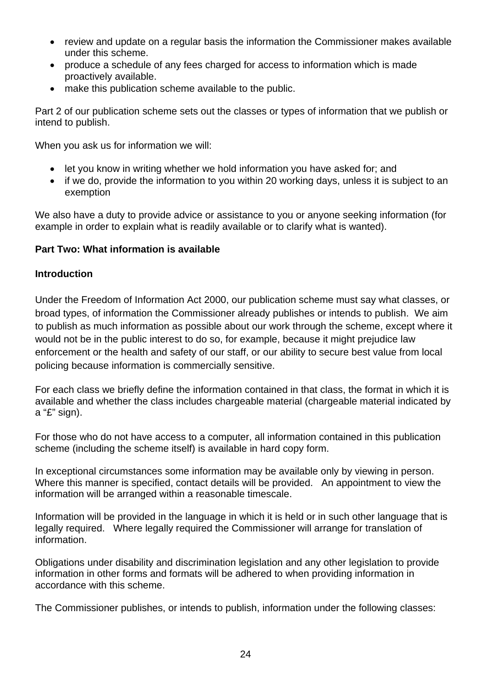- review and update on a regular basis the information the Commissioner makes available under this scheme.
- produce a schedule of any fees charged for access to information which is made proactively available.
- make this publication scheme available to the public.

Part 2 of our publication scheme sets out the classes or types of information that we publish or intend to publish.

When you ask us for information we will:

- let you know in writing whether we hold information you have asked for: and
- if we do, provide the information to you within 20 working days, unless it is subject to an exemption

We also have a duty to provide advice or assistance to you or anyone seeking information (for example in order to explain what is readily available or to clarify what is wanted).

## **Part Two: What information is available**

## **Introduction**

Under the Freedom of Information Act 2000, our publication scheme must say what classes, or broad types, of information the Commissioner already publishes or intends to publish. We aim to publish as much information as possible about our work through the scheme, except where it would not be in the public interest to do so, for example, because it might prejudice law enforcement or the health and safety of our staff, or our ability to secure best value from local policing because information is commercially sensitive.

For each class we briefly define the information contained in that class, the format in which it is available and whether the class includes chargeable material (chargeable material indicated by a "£" sign).

For those who do not have access to a computer, all information contained in this publication scheme (including the scheme itself) is available in hard copy form.

In exceptional circumstances some information may be available only by viewing in person. Where this manner is specified, contact details will be provided. An appointment to view the information will be arranged within a reasonable timescale.

Information will be provided in the language in which it is held or in such other language that is legally required. Where legally required the Commissioner will arrange for translation of information.

Obligations under disability and discrimination legislation and any other legislation to provide information in other forms and formats will be adhered to when providing information in accordance with this scheme.

The Commissioner publishes, or intends to publish, information under the following classes: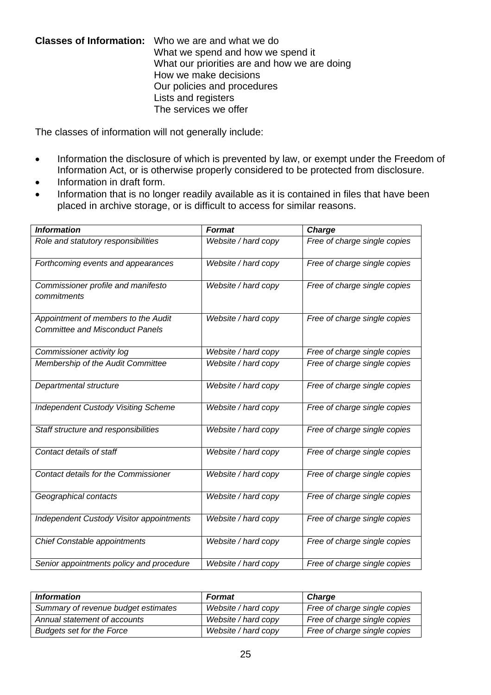#### **Classes of Information:** Who we are and what we do What we spend and how we spend it What our priorities are and how we are doing How we make decisions Our policies and procedures Lists and registers The services we offer

The classes of information will not generally include:

- Information the disclosure of which is prevented by law, or exempt under the Freedom of Information Act, or is otherwise properly considered to be protected from disclosure.
- Information in draft form.
- Information that is no longer readily available as it is contained in files that have been placed in archive storage, or is difficult to access for similar reasons.

| <b>Information</b>                                                            | <b>Format</b>       | Charge                       |
|-------------------------------------------------------------------------------|---------------------|------------------------------|
| Role and statutory responsibilities                                           | Website / hard copy | Free of charge single copies |
| Forthcoming events and appearances                                            | Website / hard copy | Free of charge single copies |
| Commissioner profile and manifesto<br>commitments                             | Website / hard copy | Free of charge single copies |
| Appointment of members to the Audit<br><b>Committee and Misconduct Panels</b> | Website / hard copy | Free of charge single copies |
| Commissioner activity log                                                     | Website / hard copy | Free of charge single copies |
| Membership of the Audit Committee                                             | Website / hard copy | Free of charge single copies |
| Departmental structure                                                        | Website / hard copy | Free of charge single copies |
| <b>Independent Custody Visiting Scheme</b>                                    | Website / hard copy | Free of charge single copies |
| Staff structure and responsibilities                                          | Website / hard copy | Free of charge single copies |
| Contact details of staff                                                      | Website / hard copy | Free of charge single copies |
| Contact details for the Commissioner                                          | Website / hard copy | Free of charge single copies |
| Geographical contacts                                                         | Website / hard copy | Free of charge single copies |
| <b>Independent Custody Visitor appointments</b>                               | Website / hard copy | Free of charge single copies |
| Chief Constable appointments                                                  | Website / hard copy | Free of charge single copies |
| Senior appointments policy and procedure                                      | Website / hard copy | Free of charge single copies |

| <b>Information</b>                  | <b>Format</b>       | <b>Charge</b>                |
|-------------------------------------|---------------------|------------------------------|
| Summary of revenue budget estimates | Website / hard copy | Free of charge single copies |
| Annual statement of accounts        | Website / hard copy | Free of charge single copies |
| <b>Budgets set for the Force</b>    | Website / hard copy | Free of charge single copies |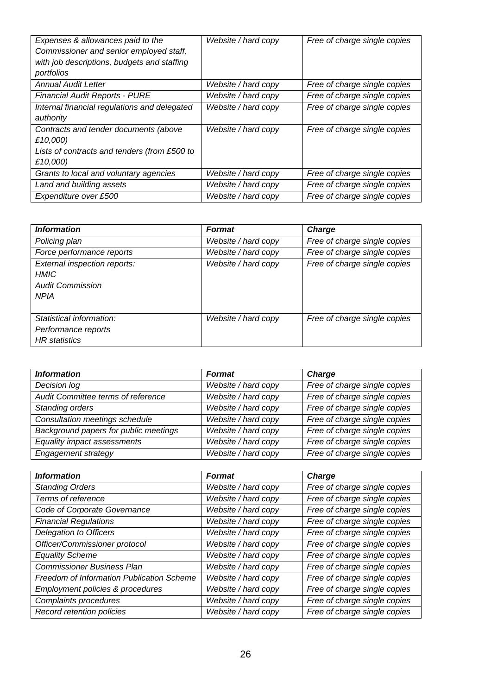| Expenses & allowances paid to the<br>Commissioner and senior employed staff,<br>with job descriptions, budgets and staffing<br>portfolios | Website / hard copy | Free of charge single copies |
|-------------------------------------------------------------------------------------------------------------------------------------------|---------------------|------------------------------|
| <b>Annual Audit Letter</b>                                                                                                                | Website / hard copy | Free of charge single copies |
| <b>Financial Audit Reports - PURE</b>                                                                                                     | Website / hard copy | Free of charge single copies |
| Internal financial regulations and delegated                                                                                              | Website / hard copy | Free of charge single copies |
| authority                                                                                                                                 |                     |                              |
| Contracts and tender documents (above<br>£10,000)                                                                                         | Website / hard copy | Free of charge single copies |
| Lists of contracts and tenders (from £500 to<br>£10,000)                                                                                  |                     |                              |
| Grants to local and voluntary agencies                                                                                                    | Website / hard copy | Free of charge single copies |
| Land and building assets                                                                                                                  | Website / hard copy | Free of charge single copies |
| Expenditure over £500                                                                                                                     | Website / hard copy | Free of charge single copies |

| <b>Information</b>                                                                    | <b>Format</b>       | Charge                       |
|---------------------------------------------------------------------------------------|---------------------|------------------------------|
| Policing plan                                                                         | Website / hard copy | Free of charge single copies |
| Force performance reports                                                             | Website / hard copy | Free of charge single copies |
| External inspection reports:<br><b>HMIC</b><br><b>Audit Commission</b><br><b>NPIA</b> | Website / hard copy | Free of charge single copies |
| Statistical information:<br>Performance reports<br><b>HR</b> statistics               | Website / hard copy | Free of charge single copies |

| <b>Information</b>                    | <b>Format</b>       | Charge                       |
|---------------------------------------|---------------------|------------------------------|
| Decision log                          | Website / hard copy | Free of charge single copies |
| Audit Committee terms of reference    | Website / hard copy | Free of charge single copies |
| Standing orders                       | Website / hard copy | Free of charge single copies |
| Consultation meetings schedule        | Website / hard copy | Free of charge single copies |
| Background papers for public meetings | Website / hard copy | Free of charge single copies |
| Equality impact assessments           | Website / hard copy | Free of charge single copies |
| Engagement strategy                   | Website / hard copy | Free of charge single copies |

| <b>Information</b>                        | <b>Format</b>       | <b>Charge</b>                |
|-------------------------------------------|---------------------|------------------------------|
| <b>Standing Orders</b>                    | Website / hard copy | Free of charge single copies |
| Terms of reference                        | Website / hard copy | Free of charge single copies |
| Code of Corporate Governance              | Website / hard copy | Free of charge single copies |
| <b>Financial Regulations</b>              | Website / hard copy | Free of charge single copies |
| Delegation to Officers                    | Website / hard copy | Free of charge single copies |
| Officer/Commissioner protocol             | Website / hard copy | Free of charge single copies |
| <b>Equality Scheme</b>                    | Website / hard copy | Free of charge single copies |
| Commissioner Business Plan                | Website / hard copy | Free of charge single copies |
| Freedom of Information Publication Scheme | Website / hard copy | Free of charge single copies |
| Employment policies & procedures          | Website / hard copy | Free of charge single copies |
| Complaints procedures                     | Website / hard copy | Free of charge single copies |
| Record retention policies                 | Website / hard copy | Free of charge single copies |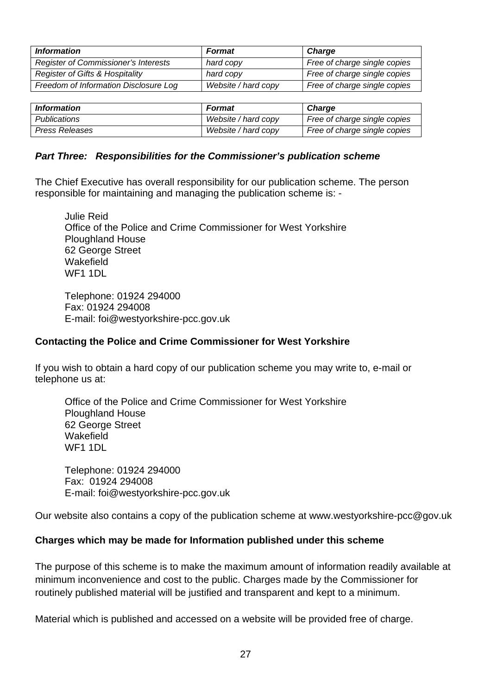| <b>Information</b>                          | <b>Format</b>       | <b>Charge</b>                |
|---------------------------------------------|---------------------|------------------------------|
| <b>Register of Commissioner's Interests</b> | hard copy           | Free of charge single copies |
| <b>Register of Gifts &amp; Hospitality</b>  | hard copy           | Free of charge single copies |
| Freedom of Information Disclosure Log       | Website / hard copy | Free of charge single copies |

| <i>Information</i> | <b>Format</b>       | Charge                       |
|--------------------|---------------------|------------------------------|
| Publications       | Website / hard copy | Free of charge single copies |
| Press Releases     | Website / hard copy | Free of charge single copies |

#### *Part Three: Responsibilities for the Commissioner's publication scheme*

The Chief Executive has overall responsibility for our publication scheme. The person responsible for maintaining and managing the publication scheme is: -

 Julie Reid Office of the Police and Crime Commissioner for West Yorkshire Ploughland House 62 George Street **Wakefield** WF1 1DL

 Telephone: 01924 294000 Fax: 01924 294008 E-mail: foi@westyorkshire-pcc.gov.uk

#### **Contacting the Police and Crime Commissioner for West Yorkshire**

If you wish to obtain a hard copy of our publication scheme you may write to, e-mail or telephone us at:

Office of the Police and Crime Commissioner for West Yorkshire Ploughland House 62 George Street **Wakefield** WF1 1DL

Telephone: 01924 294000 Fax: 01924 294008 E-mail: foi@westyorkshire-pcc.gov.uk

Our website also contains a copy of the publication scheme at www.westyorkshire-pcc@gov.uk

#### **Charges which may be made for Information published under this scheme**

The purpose of this scheme is to make the maximum amount of information readily available at minimum inconvenience and cost to the public. Charges made by the Commissioner for routinely published material will be justified and transparent and kept to a minimum.

Material which is published and accessed on a website will be provided free of charge.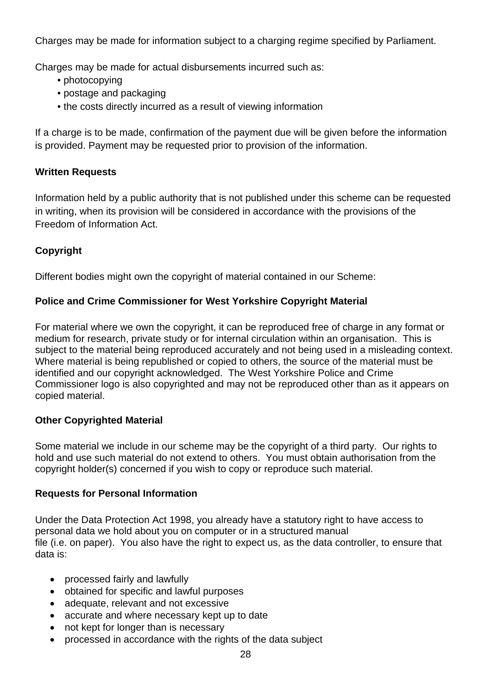Charges may be made for information subject to a charging regime specified by Parliament.

Charges may be made for actual disbursements incurred such as:

- photocopying
- postage and packaging
- the costs directly incurred as a result of viewing information

If a charge is to be made, confirmation of the payment due will be given before the information is provided. Payment may be requested prior to provision of the information.

# **Written Requests**

Information held by a public authority that is not published under this scheme can be requested in writing, when its provision will be considered in accordance with the provisions of the Freedom of Information Act.

# **Copyright**

Different bodies might own the copyright of material contained in our Scheme:

# **Police and Crime Commissioner for West Yorkshire Copyright Material**

For material where we own the copyright, it can be reproduced free of charge in any format or medium for research, private study or for internal circulation within an organisation. This is subject to the material being reproduced accurately and not being used in a misleading context. Where material is being republished or copied to others, the source of the material must be identified and our copyright acknowledged. The West Yorkshire Police and Crime Commissioner logo is also copyrighted and may not be reproduced other than as it appears on copied material.

# **Other Copyrighted Material**

Some material we include in our scheme may be the copyright of a third party. Our rights to hold and use such material do not extend to others. You must obtain authorisation from the copyright holder(s) concerned if you wish to copy or reproduce such material.

#### **Requests for Personal Information**

Under the Data Protection Act 1998, you already have a statutory right to have access to personal data we hold about you on computer or in a structured manual file (i.e. on paper). You also have the right to expect us, as the data controller, to ensure that data is:

- processed fairly and lawfully
- obtained for specific and lawful purposes
- adequate, relevant and not excessive
- accurate and where necessary kept up to date
- not kept for longer than is necessary
- processed in accordance with the rights of the data subject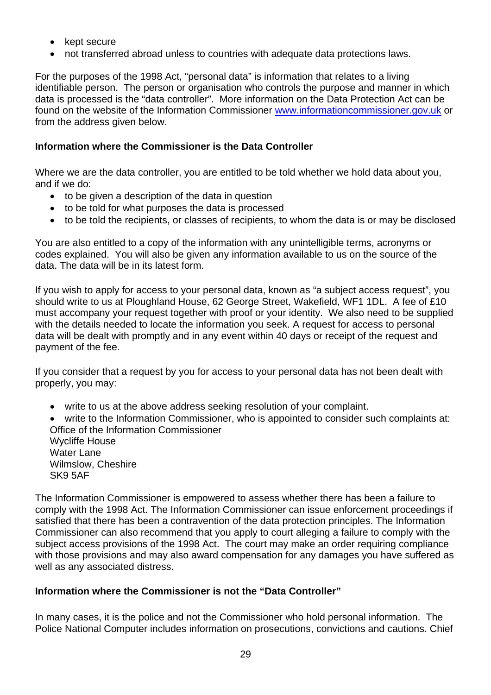- kept secure
- not transferred abroad unless to countries with adequate data protections laws.

For the purposes of the 1998 Act, "personal data" is information that relates to a living identifiable person. The person or organisation who controls the purpose and manner in which data is processed is the "data controller". More information on the Data Protection Act can be found on the website of the Information Commissioner [www.informationcommissioner.gov.uk](http://www.informationcommissioner.gov.uk/) or from the address given below.

## **Information where the Commissioner is the Data Controller**

Where we are the data controller, you are entitled to be told whether we hold data about you, and if we do:

- to be given a description of the data in question
- to be told for what purposes the data is processed
- to be told the recipients, or classes of recipients, to whom the data is or may be disclosed

You are also entitled to a copy of the information with any unintelligible terms, acronyms or codes explained. You will also be given any information available to us on the source of the data. The data will be in its latest form.

If you wish to apply for access to your personal data, known as "a subject access request", you should write to us at Ploughland House, 62 George Street, Wakefield, WF1 1DL. A fee of £10 must accompany your request together with proof or your identity. We also need to be supplied with the details needed to locate the information you seek. A request for access to personal data will be dealt with promptly and in any event within 40 days or receipt of the request and payment of the fee.

If you consider that a request by you for access to your personal data has not been dealt with properly, you may:

write to us at the above address seeking resolution of your complaint.

 write to the Information Commissioner, who is appointed to consider such complaints at: Office of the Information Commissioner Wycliffe House Water Lane Wilmslow, Cheshire SK9 5AF

The Information Commissioner is empowered to assess whether there has been a failure to comply with the 1998 Act. The Information Commissioner can issue enforcement proceedings if satisfied that there has been a contravention of the data protection principles. The Information Commissioner can also recommend that you apply to court alleging a failure to comply with the subject access provisions of the 1998 Act. The court may make an order requiring compliance with those provisions and may also award compensation for any damages you have suffered as well as any associated distress.

# **Information where the Commissioner is not the "Data Controller"**

In many cases, it is the police and not the Commissioner who hold personal information. The Police National Computer includes information on prosecutions, convictions and cautions. Chief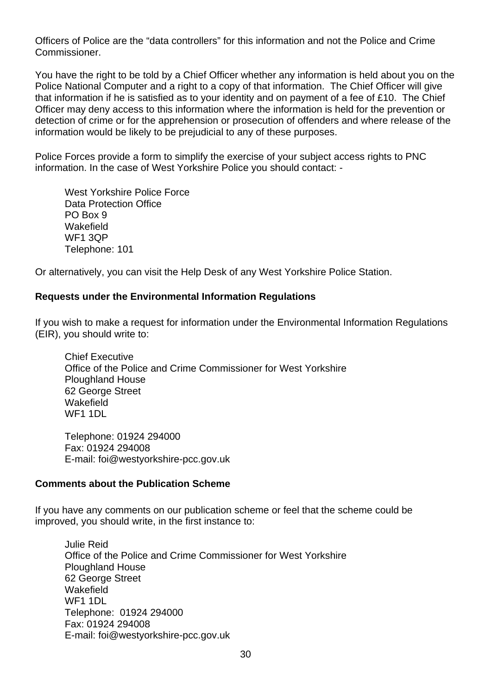Officers of Police are the "data controllers" for this information and not the Police and Crime Commissioner.

You have the right to be told by a Chief Officer whether any information is held about you on the Police National Computer and a right to a copy of that information. The Chief Officer will give that information if he is satisfied as to your identity and on payment of a fee of £10. The Chief Officer may deny access to this information where the information is held for the prevention or detection of crime or for the apprehension or prosecution of offenders and where release of the information would be likely to be prejudicial to any of these purposes.

Police Forces provide a form to simplify the exercise of your subject access rights to PNC information. In the case of West Yorkshire Police you should contact: -

 West Yorkshire Police Force Data Protection Office PO Box 9 **Wakefield**  WF1 3QP Telephone: 101

Or alternatively, you can visit the Help Desk of any West Yorkshire Police Station.

## **Requests under the Environmental Information Regulations**

If you wish to make a request for information under the Environmental Information Regulations (EIR), you should write to:

Chief Executive Office of the Police and Crime Commissioner for West Yorkshire Ploughland House 62 George Street **Wakefield** WF<sub>1</sub> 1DL

 Telephone: 01924 294000 Fax: 01924 294008 E-mail: foi@westyorkshire-pcc.gov.uk

#### **Comments about the Publication Scheme**

If you have any comments on our publication scheme or feel that the scheme could be improved, you should write, in the first instance to:

 Julie Reid Office of the Police and Crime Commissioner for West Yorkshire Ploughland House 62 George Street Wakefield WF1 1DL Telephone: 01924 294000 Fax: 01924 294008 E-mail: foi@westyorkshire-pcc.gov.uk